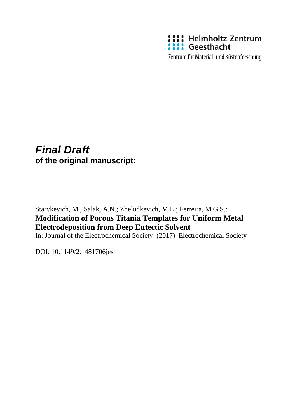

Zentrum für Material- und Küstenforschung

# *Final Draft*  **of the original manuscript:**

Starykevich, M.; Salak, A.N.; Zheludkevich, M.L.; Ferreira, M.G.S.: **Modification of Porous Titania Templates for Uniform Metal Electrodeposition from Deep Eutectic Solvent**

In: Journal of the Electrochemical Society (2017) Electrochemical Society

DOI: 10.1149/2.1481706jes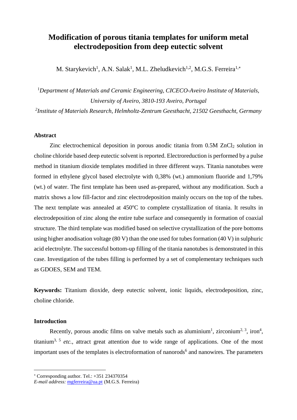# **Modification of porous titania templates for uniform metal electrodeposition from deep eutectic solvent**

M. Starykevich<sup>1</sup>, A.N. Salak<sup>1</sup>, M.L. Zheludkevich<sup>1,2</sup>, M.G.S. Ferreira<sup>1,\*</sup>

<sup>1</sup>*Department of Materials and Ceramic Engineering, CICECO-Aveiro Institute of Materials, University of Aveiro, 3810-193 Aveiro, Portugal*

*2 Institute of Materials Research, Helmholtz-Zentrum Geesthacht, 21502 Geesthacht, Germany*

# **Abstract**

Zinc electrochemical deposition in porous anodic titania from 0.5M ZnCl<sub>2</sub> solution in choline chloride based deep eutectic solvent is reported. Electroreduction is performed by a pulse method in titanium dioxide templates modified in three different ways. Titania nanotubes were formed in ethylene glycol based electrolyte with 0,38% (wt.) ammonium fluoride and 1,79% (wt.) of water. The first template has been used as-prepared, without any modification. Such a matrix shows a low fill-factor and zinc electrodeposition mainly occurs on the top of the tubes. The next template was annealed at  $450^{\circ}$ C to complete crystallization of titania. It results in electrodeposition of zinc along the entire tube surface and consequently in formation of coaxial structure. The third template was modified based on selective crystallization of the pore bottoms using higher anodisation voltage (80 V) than the one used for tubes formation (40 V) in sulphuric acid electrolyte. The successful bottom-up filling of the titania nanotubes is demonstrated in this case. Investigation of the tubes filling is performed by a set of complementary techniques such as GDOES, SEM and TEM.

**Keywords:** Titanium dioxide, deep eutectic solvent, ionic liquids, electrodeposition, zinc, choline chloride.

# **Introduction**

 $\overline{a}$ 

Recently, porous anodic films on valve metals such as aluminium<sup>[1](#page-21-0)</sup>, zirconium<sup>[2,](#page-21-1) [3](#page-21-2)</sup>, iron<sup>[4](#page-21-3)</sup>, titanium<sup>[3,](#page-21-2) [5](#page-21-4)</sup> etc., attract great attention due to wide range of applications. One of the most important uses of the templates is electroformation of nanorods<sup>[6](#page-21-5)</sup> and nanowires. The parameters

 $*$  Corresponding author. Tel.:  $+351$  234370354

*E-mail address:* [mgferreira@ua.pt](mailto:mgferreira@ua.pt) (M.G.S. Ferreira)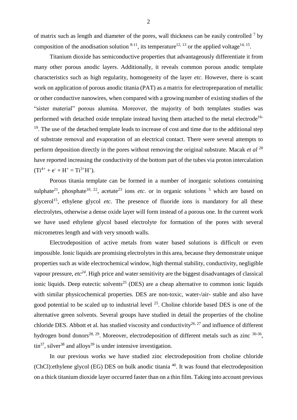of matrix such as length and diameter of the pores, wall thickness can be easily controlled  $<sup>7</sup>$  $<sup>7</sup>$  $<sup>7</sup>$  by</sup> composition of the anodisation solution  $8-11$ , its temperature<sup>[12,](#page-21-8) [13](#page-21-9)</sup> or the applied voltage<sup>[14,](#page-21-10) [15](#page-21-11)</sup>.

Titanium dioxide has semiconductive properties that advantageously differentiate it from many other porous anodic layers. Additionally, it reveals common porous anodic template characteristics such as high regularity, homogeneity of the layer *etc*. However, there is scant work on application of porous anodic titania (PAT) as a matrix for electropreparation of metallic or other conductive nanowires, when compared with a growing number of existing studies of the "sister material" porous alumina. Moreover, the majority of both templates studies was performed with detached oxide template instead having them attached to the metal electrode<sup>[16-](#page-21-12)</sup> <sup>19</sup>. The use of the detached template leads to increase of cost and time due to the additional step of substrate removal and evaporation of an electrical contact. There were several attempts to perform deposition directly in the pores without removing the original substrate. Macak *et al* [20](#page-21-13) have reported increasing the conductivity of the bottom part of the tubes via proton intercalation  $(Ti^{4+} + e^{-} + H^{+} = Ti^{3+}H^{+}).$ 

Porous titania template can be formed in a number of inorganic solutions containing sulphate<sup>[21](#page-21-14)</sup>, phosphate<sup>[10,](#page-21-15) [22](#page-21-16)</sup>, acetate<sup>[23](#page-21-17)</sup> ions *etc*. or in organic solutions <sup>[5](#page-21-4)</sup> which are based on glycerol<sup>[15](#page-21-11)</sup>, ethylene glycol etc. The presence of fluoride ions is mandatory for all these electrolytes, otherwise a dense oxide layer will form instead of a porous one. In the current work we have used ethylene glycol based electrolyte for formation of the pores with several micrometres length and with very smooth walls.

Electrodeposition of active metals from water based solutions is difficult or even impossible. Ionic liquids are promising electrolytes in this area, because they demonstrate unique properties such as wide electrochemical window, high thermal stability, conductivity, negligible vapour pressure, *etc[24](#page-21-18)*. High price and water sensitivity are the biggest disadvantages of classical ionic liquids. Deep eutectic solvents<sup>[25](#page-21-19)</sup> (DES) are a cheap alternative to common ionic liquids with similar physicochemical properties. DES are non-toxic, water-/air- stable and also have good potential to be scaled up to industrial level  $2<sup>5</sup>$ . Choline chloride based DES is one of the alternative green solvents. Several groups have studied in detail the properties of the choline chloride DES. Abbott et al. has studied viscosity and conductivity<sup>[26,](#page-22-0) [27](#page-22-1)</sup> and influence of different hydrogen bond donors<sup>[28,](#page-22-2) [29](#page-22-3)</sup>. Moreover, electrodeposition of different metals such as zinc  $30-36$ ,  $\text{tin}^{37}$  $\text{tin}^{37}$  $\text{tin}^{37}$ , silver<sup>[38](#page-22-6)</sup> and alloys<sup>[39](#page-22-7)</sup> is under intensive investigation.

In our previous works we have studied zinc electrodeposition from choline chloride (ChCl):ethylene glycol (EG) DES on bulk anodic titania [40](#page-22-8). It was found that electrodeposition on a thick titanium dioxide layer occurred faster than on a thin film. Taking into account previous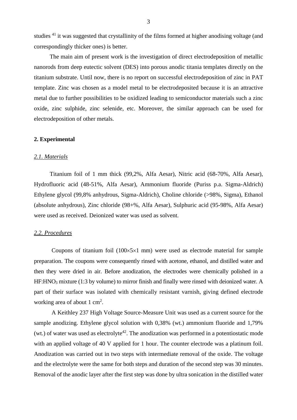studies <sup>[41](#page-22-9)</sup> it was suggested that crystallinity of the films formed at higher anodising voltage (and correspondingly thicker ones) is better.

The main aim of present work is the investigation of direct electrodeposition of metallic nanorods from deep eutectic solvent (DES) into porous anodic titania templates directly on the titanium substrate. Until now, there is no report on successful electrodeposition of zinc in PAT template. Zinc was chosen as a model metal to be electrodeposited because it is an attractive metal due to further possibilities to be oxidized leading to semiconductor materials such a zinc oxide, zinc sulphide, zinc selenide, etc. Moreover, the similar approach can be used for electrodeposition of other metals.

### **2. Experimental**

#### *2.1. Materials*

Titanium foil of 1 mm thick (99,2%, Alfa Aesar), Nitric acid (68-70%, Alfa Aesar), Hydrofluoric acid (48-51%, Alfa Aesar), Ammonium fluoride (Puriss p.a. Sigma-Aldrich) Ethylene glycol (99,8% anhydrous, Sigma-Aldrich), Choline chloride (>98%, Sigma), Ethanol (absolute anhydrous), Zinc chloride (98+%, Alfa Aesar), Sulphuric acid (95-98%, Alfa Aesar) were used as received. Deionized water was used as solvent.

#### *2.2. Procedures*

Coupons of titanium foil ( $100 \times 5 \times 1$  mm) were used as electrode material for sample preparation. The coupons were consequently rinsed with acetone, ethanol, and distilled water and then they were dried in air. Before anodization, the electrodes were chemically polished in a HF:HNO<sub>3</sub> mixture (1:3 by volume) to mirror finish and finally were rinsed with deionized water. A part of their surface was isolated with chemically resistant varnish, giving defined electrode working area of about  $1 \text{ cm}^2$ .

A Keithley 237 High Voltage Source-Measure Unit was used as a current source for the sample anodizing. Ethylene glycol solution with 0,38% (wt.) ammonium fluoride and 1,79% (wt.) of water was used as electrolyte<sup>[42](#page-22-10)</sup>. The anodization was performed in a potentiostatic mode with an applied voltage of 40 V applied for 1 hour. The counter electrode was a platinum foil. Anodization was carried out in two steps with intermediate removal of the oxide. The voltage and the electrolyte were the same for both steps and duration of the second step was 30 minutes. Removal of the anodic layer after the first step was done by ultra sonication in the distilled water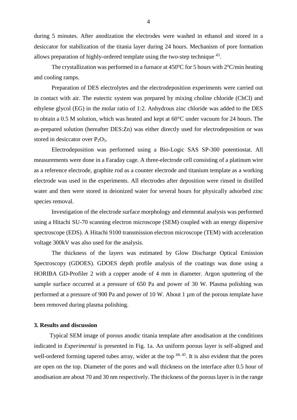during 5 minutes. After anodization the electrodes were washed in ethanol and stored in a desiccator for stabilization of the titania layer during 24 hours. Mechanism of pore formation allows preparation of highly-ordered template using the two-step technique  $^{43}$  $^{43}$  $^{43}$ .

The crystallization was performed in a furnace at  $450^{\circ}$ C for 5 hours with  $2^{\circ}$ C/min heating and cooling ramps.

Preparation of DES electrolytes and the electrodeposition experiments were carried out in contact with air. The eutectic system was prepared by mixing choline chloride (ChCl) and ethylene glycol (EG) in the molar ratio of 1:2. Anhydrous zinc chloride was added to the DES to obtain a 0.5 M solution, which was heated and kept at 60°C under vacuum for 24 hours. The as-prepared solution (hereafter DES:Zn) was either directly used for electrodeposition or was stored in desiccator over  $P_2O_5$ .

Electrodeposition was performed using a Bio-Logic SAS SP-300 potentiostat. All measurements were done in a Faraday cage. A three-electrode cell consisting of a platinum wire as a reference electrode, graphite rod as a counter electrode and titanium template as a working electrode was used in the experiments. All electrodes after deposition were rinsed in distilled water and then were stored in deionized water for several hours for physically adsorbed zinc species removal.

Investigation of the electrode surface morphology and elemental analysis was performed using a Hitachi SU-70 scanning electron microscope (SEM) coupled with an energy dispersive spectroscope (EDS). A Hitachi 9100 transmission electron microscope (TEM) with acceleration voltage 300kV was also used for the analysis.

The thickness of the layers was estimated by Glow Discharge Optical Emission Spectroscopy (GDOES). GDOES depth profile analysis of the coatings was done using a HORIBA GD-Profiler 2 with a copper anode of 4 mm in diameter. Argon sputtering of the sample surface occurred at a pressure of 650 Pa and power of 30 W. Plasma polishing was performed at a pressure of 900 Pa and power of 10 W. About 1 µm of the porous template have been removed during plasma polishing.

# **3. Results and discussion**

Typical SEM image of porous anodic titania template after anodisation at the conditions indicated in *Experimental* is presented in Fig. 1a. An uniform porous layer is self-aligned and well-ordered forming tapered tubes array, wider at the top  $44, 45$  $44, 45$ . It is also evident that the pores are open on the top. Diameter of the pores and wall thickness on the interface after 0.5 hour of anodisation are about 70 and 30 nm respectively. The thickness of the porous layer is in the range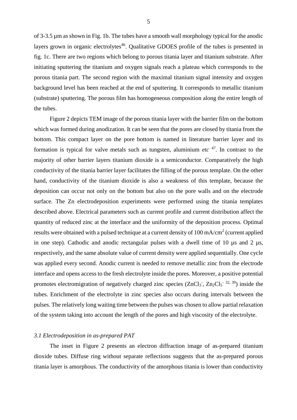of 3-3.5 µm as shown in Fig. 1b. The tubes have a smooth wall morphology typical for the anodic layers grown in organic electrolytes<sup>[46](#page-22-14)</sup>. Qualitative GDOES profile of the tubes is presented in fig. 1c. There are two regions which belong to porous titania layer and titanium substrate. After initiating sputtering the titanium and oxygen signals reach a plateau which corresponds to the porous titania part. The second region with the maximal titanium signal intensity and oxygen background level has been reached at the end of sputtering. It corresponds to metallic titanium (substrate) sputtering. The porous film has homogeneous composition along the entire length of the tubes.

Figure 2 depicts TEM image of the porous titania layer with the barrier film on the bottom which was formed during anodization. It can be seen that the pores are closed by titania from the bottom. This compact layer on the pore bottom is named in literature barrier layer and its formation is typical for valve metals such as tungsten, aluminium *etc* [47](#page-22-15) *.* In contrast to the majority of other barrier layers titanium dioxide is a semiconductor. Comparatively the high conductivity of the titania barrier layer facilitates the filling of the porous template. On the other hand, conductivity of the titanium dioxide is also a weakness of this template, because the deposition can occur not only on the bottom but also on the pore walls and on the electrode surface. The Zn electrodeposition experiments were performed using the titania templates described above. Electrical parameters such as current profile and current distribution affect the quantity of reduced zinc at the interface and the uniformity of the deposition process. Optimal results were obtained with a pulsed technique at a current density of  $100 \text{ mA/cm}^2$  (current applied in one step). Cathodic and anodic rectangular pulses with a dwell time of 10  $\mu$ s and 2  $\mu$ s, respectively, and the same absolute value of current density were applied sequentially. One cycle was applied every second. Anodic current is needed to remove metallic zinc from the electrode interface and opens access to the fresh electrolyte inside the pores. Moreover, a positive potential promotes electromigration of negatively charged zinc species  $(ZnCl<sub>3</sub>$ ,  $Zn<sub>2</sub>Cl<sub>5</sub>$ <sup>-[32,](#page-22-16) [39](#page-22-7)</sup>) inside the tubes. Enrichment of the electrolyte in zinc species also occurs during intervals between the pulses. The relatively long waiting time between the pulses was chosen to allow partial relaxation of the system taking into account the length of the pores and high viscosity of the electrolyte.

## *3.1 Electrodeposition in as-prepared PAT*

The inset in Figure 2 presents an electron diffraction image of as-prepared titanium dioxide tubes. Diffuse ring without separate reflections suggests that the as-prepared porous titania layer is amorphous. The conductivity of the amorphous titania is lower than conductivity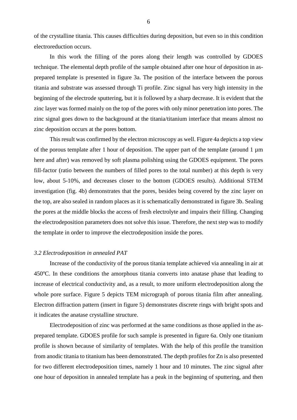of the crystalline titania. This causes difficulties during deposition, but even so in this condition electroreduction occurs.

In this work the filling of the pores along their length was controlled by GDOES technique. The elemental depth profile of the sample obtained after one hour of deposition in asprepared template is presented in figure 3a. The position of the interface between the porous titania and substrate was assessed through Ti profile. Zinc signal has very high intensity in the beginning of the electrode sputtering, but it is followed by a sharp decrease. It is evident that the zinc layer was formed mainly on the top of the pores with only minor penetration into pores. The zinc signal goes down to the background at the titania/titanium interface that means almost no zinc deposition occurs at the pores bottom.

This result was confirmed by the electron microscopy as well. Figure 4a depicts a top view of the porous template after 1 hour of deposition. The upper part of the template (around 1  $\mu$ m here and after) was removed by soft plasma polishing using the GDOES equipment. The pores fill-factor (ratio between the numbers of filled pores to the total number) at this depth is very low, about 5-10%, and decreases closer to the bottom (GDOES results). Additional STEM investigation (fig. 4b) demonstrates that the pores, besides being covered by the zinc layer on the top, are also sealed in random places as it is schematically demonstrated in figure 3b. Sealing the pores at the middle blocks the access of fresh electrolyte and impairs their filling. Changing the electrodeposition parameters does not solve this issue. Therefore, the next step was to modify the template in order to improve the electrodeposition inside the pores.

#### *3.2 Electrodeposition in annealed PAT*

Increase of the conductivity of the porous titania template achieved via annealing in air at 450 °C. In these conditions the amorphous titania converts into anatase phase that leading to increase of electrical conductivity and, as a result, to more uniform electrodeposition along the whole pore surface. Figure 5 depicts TEM micrograph of porous titania film after annealing. Electron diffraction pattern (insert in figure 5) demonstrates discrete rings with bright spots and it indicates the anatase crystalline structure.

Electrodeposition of zinc was performed at the same conditions as those applied in the asprepared template. GDOES profile for such sample is presented in figure 6a. Only one titanium profile is shown because of similarity of templates. With the help of this profile the transition from anodic titania to titanium has been demonstrated. The depth profiles for Zn is also presented for two different electrodeposition times, namely 1 hour and 10 minutes. The zinc signal after one hour of deposition in annealed template has a peak in the beginning of sputtering, and then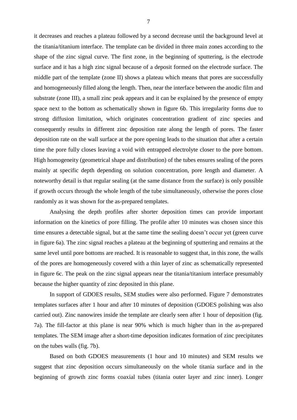it decreases and reaches a plateau followed by a second decrease until the background level at the titania/titanium interface. The template can be divided in three main zones according to the shape of the zinc signal curve. The first zone, in the beginning of sputtering, is the electrode surface and it has a high zinc signal because of a deposit formed on the electrode surface. The middle part of the template (zone II) shows a plateau which means that pores are successfully and homogeneously filled along the length. Then, near the interface between the anodic film and substrate (zone III), a small zinc peak appears and it can be explained by the presence of empty space next to the bottom as schematically shown in figure 6b. This irregularity forms due to strong diffusion limitation, which originates concentration gradient of zinc species and consequently results in different zinc deposition rate along the length of pores. The faster deposition rate on the wall surface at the pore opening leads to the situation that after a certain time the pore fully closes leaving a void with entrapped electrolyte closer to the pore bottom. High homogeneity (geometrical shape and distribution) of the tubes ensures sealing of the pores mainly at specific depth depending on solution concentration, pore length and diameter. A noteworthy detail is that regular sealing (at the same distance from the surface) is only possible if growth occurs through the whole length of the tube simultaneously, otherwise the pores close randomly as it was shown for the as-prepared templates.

Analysing the depth profiles after shorter deposition times can provide important information on the kinetics of pore filling. The profile after 10 minutes was chosen since this time ensures a detectable signal, but at the same time the sealing doesn't occur yet (green curve in figure 6a). The zinc signal reaches a plateau at the beginning of sputtering and remains at the same level until pore bottoms are reached. It is reasonable to suggest that, in this zone, the walls of the pores are homogeneously covered with a thin layer of zinc as schematically represented in figure 6c. The peak on the zinc signal appears near the titania/titanium interface presumably because the higher quantity of zinc deposited in this plane.

In support of GDOES results, SEM studies were also performed. Figure 7 demonstrates templates surfaces after 1 hour and after 10 minutes of deposition (GDOES polishing was also carried out). Zinc nanowires inside the template are clearly seen after 1 hour of deposition (fig. 7a). The fill-factor at this plane is near 90% which is much higher than in the as-prepared templates. The SEM image after a short-time deposition indicates formation of zinc precipitates on the tubes walls (fig. 7b).

Based on both GDOES measurements (1 hour and 10 minutes) and SEM results we suggest that zinc deposition occurs simultaneously on the whole titania surface and in the beginning of growth zinc forms coaxial tubes (titania outer layer and zinc inner). Longer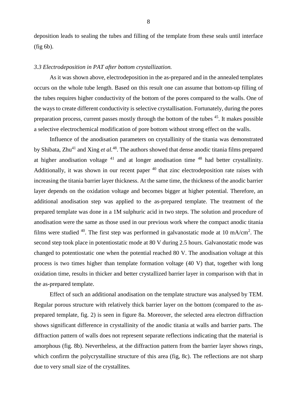deposition leads to sealing the tubes and filling of the template from these seals until interface (fig 6b).

## *3.3 Electrodeposition in PAT after bottom crystallization.*

As it was shown above, electrodeposition in the as-prepared and in the annealed templates occurs on the whole tube length. Based on this result one can assume that bottom-up filling of the tubes requires higher conductivity of the bottom of the pores compared to the walls. One of the ways to create different conductivity is selective crystallisation. Fortunately, during the pores preparation process, current passes mostly through the bottom of the tubes [45](#page-22-13). It makes possible a selective electrochemical modification of pore bottom without strong effect on the walls.

Influence of the anodisation parameters on crystallinity of the titania was demonstrated by Shibata, Zhu<sup>[41](#page-22-9)</sup> and Xing *et al.*<sup>[48](#page-22-17)</sup>. The authors showed that dense anodic titania films prepared at higher anodisation voltage  $41$  and at longer anodisation time  $48$  had better crystallinity. Additionally, it was shown in our recent paper <sup>[40](#page-22-8)</sup> that zinc electrodeposition rate raises with increasing the titania barrier layer thickness. At the same time, the thickness of the anodic barrier layer depends on the oxidation voltage and becomes bigger at higher potential. Therefore, an additional anodisation step was applied to the as-prepared template. The treatment of the prepared template was done in a 1M sulphuric acid in two steps. The solution and procedure of anodisation were the same as those used in our previous work where the compact anodic titania films were studied  $40$ . The first step was performed in galvanostatic mode at 10 mA/cm<sup>2</sup>. The second step took place in potentiostatic mode at 80 V during 2.5 hours. Galvanostatic mode was changed to potentiostatic one when the potential reached 80 V. The anodisation voltage at this process is two times higher than template formation voltage (40 V) that, together with long oxidation time, results in thicker and better crystallized barrier layer in comparison with that in the as-prepared template.

Effect of such an additional anodisation on the template structure was analysed by TEM. Regular porous structure with relatively thick barrier layer on the bottom (compared to the asprepared template, fig. 2) is seen in figure 8a. Moreover, the selected area electron diffraction shows significant difference in crystallinity of the anodic titania at walls and barrier parts. The diffraction pattern of walls does not represent separate reflections indicating that the material is amorphous (fig. 8b). Nevertheless, at the diffraction pattern from the barrier layer shows rings, which confirm the polycrystalline structure of this area (fig, 8c). The reflections are not sharp due to very small size of the crystallites.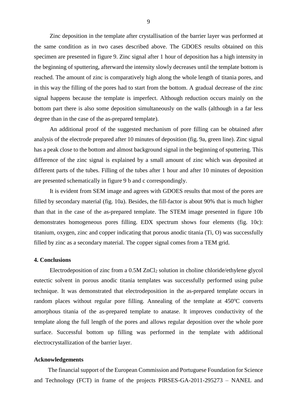Zinc deposition in the template after crystallisation of the barrier layer was performed at the same condition as in two cases described above. The GDOES results obtained on this specimen are presented in figure 9. Zinc signal after 1 hour of deposition has a high intensity in the beginning of sputtering, afterward the intensity slowly decreases until the template bottom is reached. The amount of zinc is comparatively high along the whole length of titania pores, and in this way the filling of the pores had to start from the bottom. A gradual decrease of the zinc signal happens because the template is imperfect. Although reduction occurs mainly on the bottom part there is also some deposition simultaneously on the walls (although in a far less degree than in the case of the as-prepared template).

An additional proof of the suggested mechanism of pore filling can be obtained after analysis of the electrode prepared after 10 minutes of deposition (fig. 9a, green line). Zinc signal has a peak close to the bottom and almost background signal in the beginning of sputtering. This difference of the zinc signal is explained by a small amount of zinc which was deposited at different parts of the tubes. Filling of the tubes after 1 hour and after 10 minutes of deposition are presented schematically in figure 9 b and c correspondingly.

It is evident from SEM image and agrees with GDOES results that most of the pores are filled by secondary material (fig. 10a). Besides, the fill-factor is about 90% that is much higher than that in the case of the as-prepared template. The STEM image presented in figure 10b demonstrates homogeneous pores filling. EDX spectrum shows four elements (fig. 10c): titanium, oxygen, zinc and copper indicating that porous anodic titania (Ti, O) was successfully filled by zinc as a secondary material. The copper signal comes from a TEM grid.

# **4. Conclusions**

Electrodeposition of zinc from a 0.5M ZnCl<sup>2</sup> solution in choline chloride/ethylene glycol eutectic solvent in porous anodic titania templates was successfully performed using pulse technique. It was demonstrated that electrodeposition in the as-prepared template occurs in random places without regular pore filling. Annealing of the template at  $450^{\circ}$ C converts amorphous titania of the as-prepared template to anatase. It improves conductivity of the template along the full length of the pores and allows regular deposition over the whole pore surface. Successful bottom up filling was performed in the template with additional electrocrystallization of the barrier layer.

# **Acknowledgements**

The financial support of the European Commission and Portuguese Foundation for Science and Technology (FCT) in frame of the projects PIRSES-GA-2011-295273 – NANEL and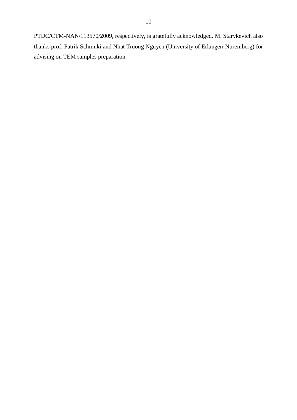PTDC/CTM-NAN/113570/2009, respectively, is gratefully acknowledged. M. Starykevich also thanks prof. Patrik Schmuki and Nhat Truong Nguyen (University of Erlangen-Nuremberg) for advising on TEM samples preparation.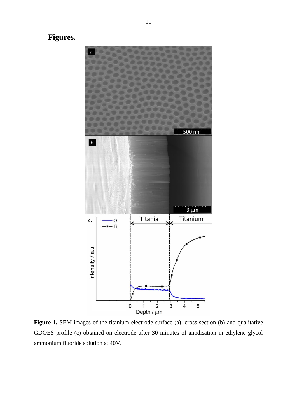**Figures.**



Figure 1. SEM images of the titanium electrode surface (a), cross-section (b) and qualitative GDOES profile (c) obtained on electrode after 30 minutes of anodisation in ethylene glycol ammonium fluoride solution at 40V.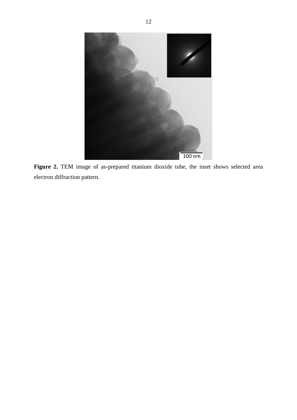

**Figure 2.** TEM image of as-prepared titanium dioxide tube, the inset shows selected area electron diffraction pattern.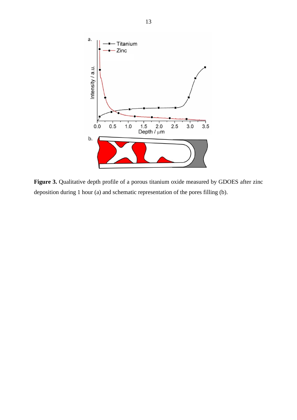

Figure 3. Qualitative depth profile of a porous titanium oxide measured by GDOES after zinc deposition during 1 hour (a) and schematic representation of the pores filling (b).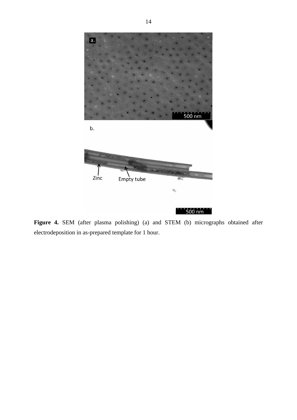

**Figure 4.** SEM (after plasma polishing) (a) and STEM (b) micrographs obtained after electrodeposition in as-prepared template for 1 hour.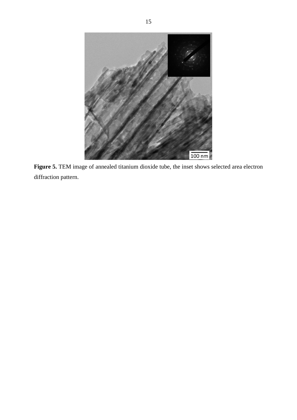

**Figure 5.** TEM image of annealed titanium dioxide tube, the inset shows selected area electron diffraction pattern.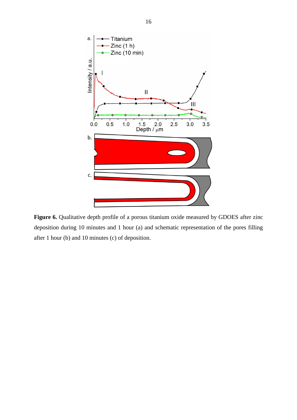

Figure 6. Qualitative depth profile of a porous titanium oxide measured by GDOES after zinc deposition during 10 minutes and 1 hour (a) and schematic representation of the pores filling after 1 hour (b) and 10 minutes (c) of deposition.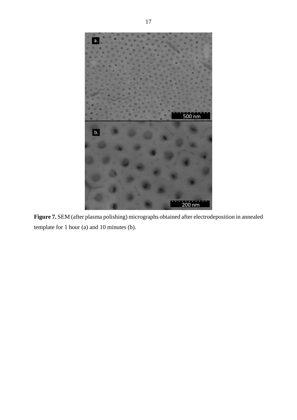

**Figure 7.** SEM (after plasma polishing) micrographs obtained after electrodeposition in annealed template for 1 hour (a) and 10 minutes (b).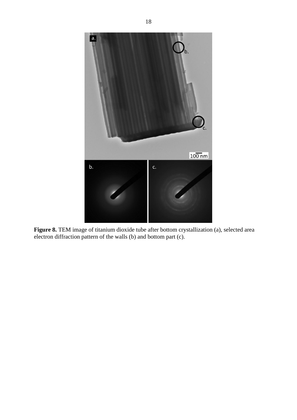

**Figure 8.** TEM image of titanium dioxide tube after bottom crystallization (a), selected area electron diffraction pattern of the walls (b) and bottom part (c).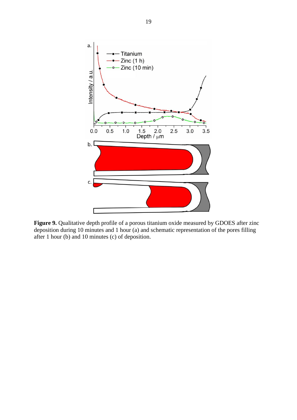

**Figure 9.** Qualitative depth profile of a porous titanium oxide measured by GDOES after zinc deposition during 10 minutes and 1 hour (a) and schematic representation of the pores filling after 1 hour (b) and 10 minutes (c) of deposition.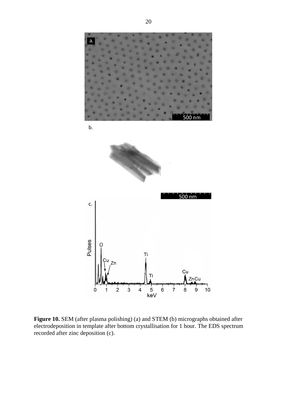

**Figure 10.** SEM (after plasma polishing) (a) and STEM (b) micrographs obtained after electrodeposition in template after bottom crystallisation for 1 hour. The EDS spectrum recorded after zinc deposition (c).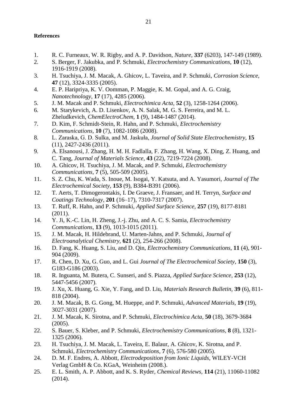# **References**

- <span id="page-21-0"></span>1. R. C. Furneaux, W. R. Rigby, and A. P. Davidson, *Nature,* **337** (6203), 147-149 (1989).
- <span id="page-21-1"></span>2. S. Berger, F. Jakubka, and P. Schmuki, *Electrochemistry Communications,* **10** (12), 1916-1919 (2008).
- <span id="page-21-2"></span>3. H. Tsuchiya, J. M. Macak, A. Ghicov, L. Taveira, and P. Schmuki, *Corrosion Science,* **47** (12), 3324-3335 (2005).
- <span id="page-21-3"></span>4. E. P. Haripriya, K. V. Oomman, P. Maggie, K. M. Gopal, and A. G. Craig, *Nanotechnology,* **17** (17), 4285 (2006).
- <span id="page-21-4"></span>5. J. M. Macak and P. Schmuki, *Electrochimica Acta,* **52** (3), 1258-1264 (2006).
- <span id="page-21-5"></span>6. M. Starykevich, A. D. Lisenkov, A. N. Salak, M. G. S. Ferreira, and M. L. Zheludkevich, *ChemElectroChem,* **1** (9), 1484-1487 (2014).
- <span id="page-21-6"></span>7. D. Kim, F. Schmidt-Stein, R. Hahn, and P. Schmuki, *Electrochemistry Communications,* **10** (7), 1082-1086 (2008).
- <span id="page-21-7"></span>8. L. Zaraska, G. D. Sulka, and M. Jaskuła, *Journal of Solid State Electrochemistry,* **15** (11), 2427-2436 (2011).
- 9. A. Elsanousi, J. Zhang, H. M. H. Fadlalla, F. Zhang, H. Wang, X. Ding, Z. Huang, and C. Tang, *Journal of Materials Science,* **43** (22), 7219-7224 (2008).
- <span id="page-21-15"></span>10. A. Ghicov, H. Tsuchiya, J. M. Macak, and P. Schmuki, *Electrochemistry Communications,* **7** (5), 505-509 (2005).
- 11. S. Z. Chu, K. Wada, S. Inoue, M. Isogai, Y. Katsuta, and A. Yasumori, *Journal of The Electrochemical Society,* **153** (9), B384-B391 (2006).
- <span id="page-21-8"></span>12. T. Aerts, T. Dimogerontakis, I. De Graeve, J. Fransaer, and H. Terryn, *Surface and Coatings Technology,* **201** (16–17), 7310-7317 (2007).
- <span id="page-21-9"></span>13. T. Ruff, R. Hahn, and P. Schmuki, *Applied Surface Science,* **257** (19), 8177-8181 (2011).
- <span id="page-21-10"></span>14. Y. Ji, K.-C. Lin, H. Zheng, J.-j. Zhu, and A. C. S. Samia, *Electrochemistry Communications,* **13** (9), 1013-1015 (2011).
- <span id="page-21-11"></span>15. J. M. Macak, H. Hildebrand, U. Marten-Jahns, and P. Schmuki, *Journal of Electroanalytical Chemistry,* **621** (2), 254-266 (2008).
- <span id="page-21-12"></span>16. D. Fang, K. Huang, S. Liu, and D. Qin, *Electrochemistry Communications,* **11** (4), 901- 904 (2009).
- 17. R. Chen, D. Xu, G. Guo, and L. Gui *Journal of The Electrochemical Society,* **150** (3), G183-G186 (2003).
- 18. R. Inguanta, M. Butera, C. Sunseri, and S. Piazza, *Applied Surface Science,* **253** (12), 5447-5456 (2007).
- 19. J. Xu, X. Huang, G. Xie, Y. Fang, and D. Liu, *Materials Research Bulletin,* **39** (6), 811- 818 (2004).
- <span id="page-21-13"></span>20. J. M. Macak, B. G. Gong, M. Hueppe, and P. Schmuki, *Advanced Materials,* **19** (19), 3027-3031 (2007).
- <span id="page-21-14"></span>21. J. M. Macak, K. Sirotna, and P. Schmuki, *Electrochimica Acta,* **50** (18), 3679-3684 (2005).
- <span id="page-21-16"></span>22. S. Bauer, S. Kleber, and P. Schmuki, *Electrochemistry Communications,* **8** (8), 1321- 1325 (2006).
- <span id="page-21-17"></span>23. H. Tsuchiya, J. M. Macak, L. Taveira, E. Balaur, A. Ghicov, K. Sirotna, and P. Schmuki, *Electrochemistry Communications,* **7** (6), 576-580 (2005).
- <span id="page-21-18"></span>24. D. M. F. Endres, A. Abbott, *Electrodeposition from Ionic Liquids*, WILEY-VCH Verlag GmbH & Co. KGaA, Weinheim (2008.).
- <span id="page-21-19"></span>25. E. L. Smith, A. P. Abbott, and K. S. Ryder, *Chemical Reviews,* **114** (21), 11060-11082 (2014).